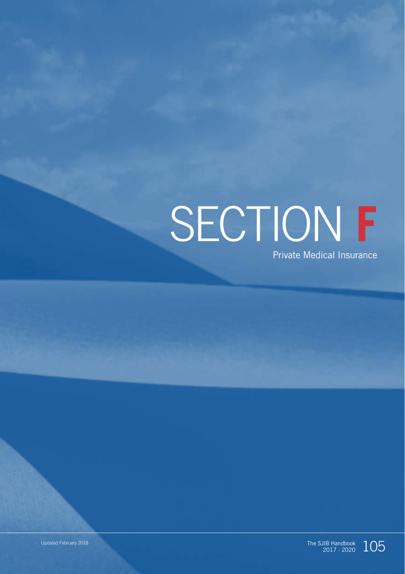# SECTION **F**

Private Medical Insurance

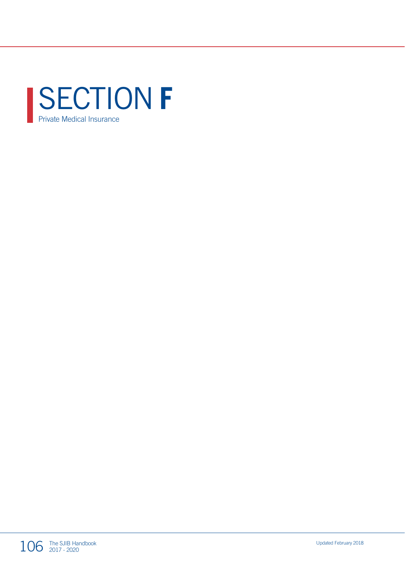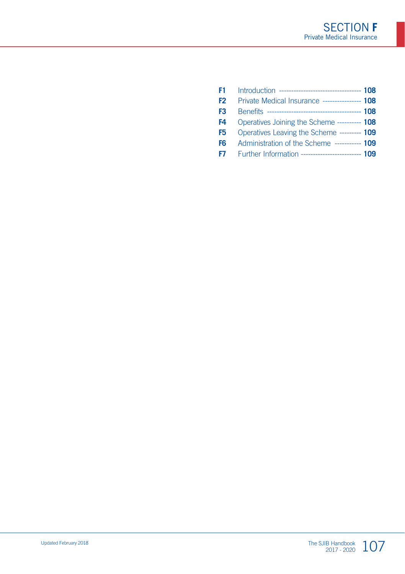| F1.            | Introduction ----------------------------------- 108 |  |
|----------------|------------------------------------------------------|--|
| F <sub>2</sub> | Private Medical Insurance ---------------- 108       |  |
| F3             |                                                      |  |
| F4             | Operatives Joining the Scheme ---------- 108         |  |
| F5             | Operatives Leaving the Scheme --------- 109          |  |
| F6             | Administration of the Scheme ----------- 109         |  |
| F7.            | Further Information ------------------------- 109    |  |
|                |                                                      |  |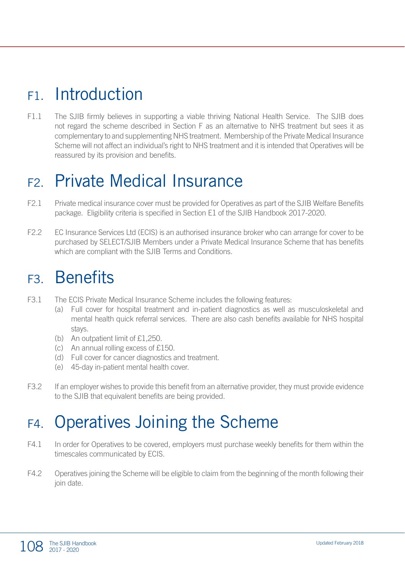## F1. Introduction

F1.1 The SJIB firmly believes in supporting a viable thriving National Health Service. The SJIB does not regard the scheme described in Section F as an alternative to NHS treatment but sees it as complementary to and supplementing NHS treatment. Membership of the Private Medical Insurance Scheme will not affect an individual's right to NHS treatment and it is intended that Operatives will be reassured by its provision and benefits.

## F2. Private Medical Insurance

- F2.1 Private medical insurance cover must be provided for Operatives as part of the SJIB Welfare Benefits package. Eligibility criteria is specified in Section E1 of the SJIB Handbook 2017-2020.
- F2.2 EC Insurance Services Ltd (ECIS) is an authorised insurance broker who can arrange for cover to be purchased by SELECT/SJIB Members under a Private Medical Insurance Scheme that has benefits which are compliant with the SJIB Terms and Conditions.

#### F3. Benefits

- F3.1 The ECIS Private Medical Insurance Scheme includes the following features:
	- (a) Full cover for hospital treatment and in-patient diagnostics as well as musculoskeletal and mental health quick referral services. There are also cash benefits available for NHS hospital stays.
	- (b) An outpatient limit of £1,250.
	- (c) An annual rolling excess of £150.
	- (d) Full cover for cancer diagnostics and treatment.
	- (e) 45-day in-patient mental health cover.
- F3.2 If an employer wishes to provide this benefit from an alternative provider, they must provide evidence to the SJIB that equivalent benefits are being provided.

# F4. Operatives Joining the Scheme

- F4.1 In order for Operatives to be covered, employers must purchase weekly benefits for them within the timescales communicated by ECIS.
- F4.2 Operatives joining the Scheme will be eligible to claim from the beginning of the month following their join date.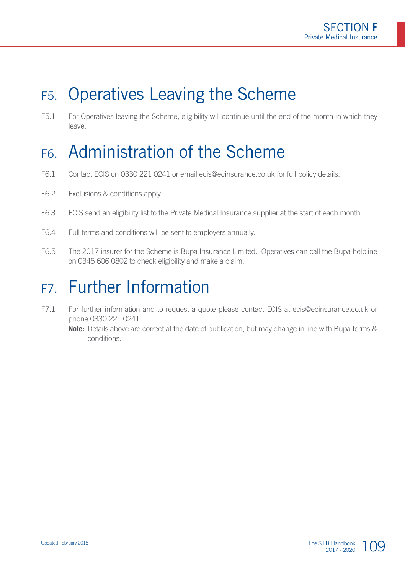# F5. Operatives Leaving the Scheme

F5.1 For Operatives leaving the Scheme, eligibility will continue until the end of the month in which they leave.

## F6. Administration of the Scheme

- F6.1 Contact ECIS on 0330 221 0241 or email ecis@ecinsurance.co.uk for full policy details.
- F6.2 Exclusions & conditions apply.
- F6.3 ECIS send an eligibility list to the Private Medical Insurance supplier at the start of each month.
- F6.4 Full terms and conditions will be sent to employers annually.
- F6.5 The 2017 insurer for the Scheme is Bupa Insurance Limited. Operatives can call the Bupa helpline on 0345 606 0802 to check eligibility and make a claim.

# F7. Further Information

F7.1 For further information and to request a quote please contact ECIS at ecis@ecinsurance.co.uk or phone 0330 221 0241. **Note:** Details above are correct at the date of publication, but may change in line with Bupa terms & conditions.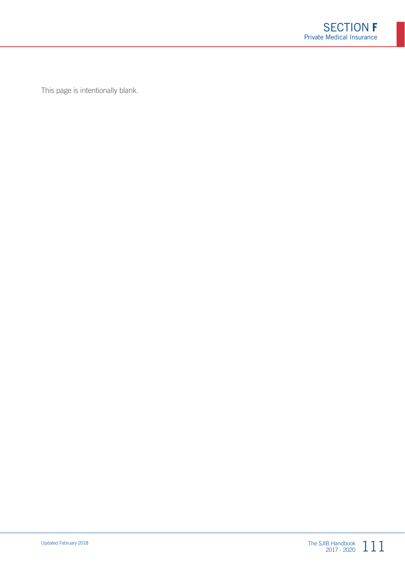